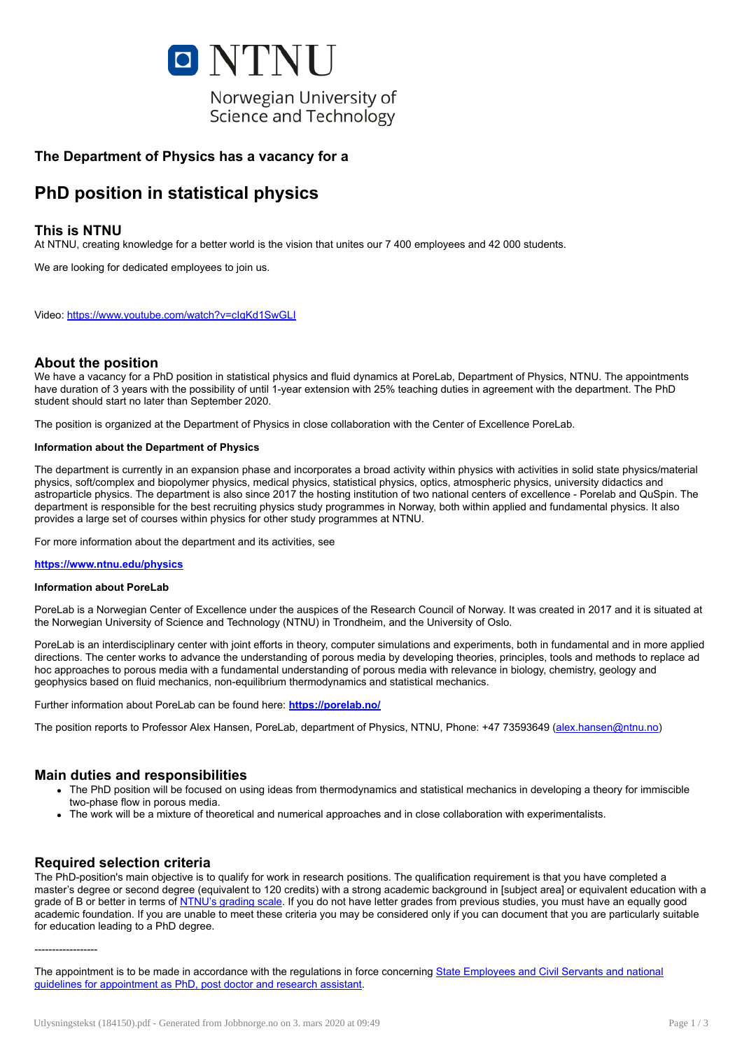

# The Department of Physics has a vacancy for a

# PhD position in statistical physics

# This is NTNU

At NTNU, creating knowledge for a better world is the vision that unites our 7 400 employees and 42 000 students.

We are looking for dedicated employees to join us.

Video: <https://www.youtube.com/watch?v=cIgKd1SwGLI>

# About the position

We have a vacancy for a PhD position in statistical physics and fluid dynamics at PoreLab, Department of Physics, NTNU. The appointments have duration of 3 years with the possibility of until 1-year extension with 25% teaching duties in agreement with the department. The PhD student should start no later than September 2020.

The position is organized at the Department of Physics in close collaboration with the Center of Excellence PoreLab.

### Information about the Department of Physics

The department is currently in an expansion phase and incorporates a broad activity within physics with activities in solid state physics/material physics, soft/complex and biopolymer physics, medical physics, statistical physics, optics, atmospheric physics, university didactics and astroparticle physics. The department is also since 2017 the hosting institution of two national centers of excellence - Porelab and QuSpin. The department is responsible for the best recruiting physics study programmes in Norway, both within applied and fundamental physics. It also provides a large set of courses within physics for other study programmes at NTNU.

For more information about the department and its activities, see

### <https://www.ntnu.edu/physics>

#### Information about PoreLab

PoreLab is a Norwegian Center of Excellence under the auspices of the Research Council of Norway. It was created in 2017 and it is situated at the Norwegian University of Science and Technology (NTNU) in Trondheim, and the University of Oslo.

PoreLab is an interdisciplinary center with joint efforts in theory, computer simulations and experiments, both in fundamental and in more applied directions. The center works to advance the understanding of porous media by developing theories, principles, tools and methods to replace ad hoc approaches to porous media with a fundamental understanding of porous media with relevance in biology, chemistry, geology and geophysics based on fluid mechanics, non-equilibrium thermodynamics and statistical mechanics.

Further information about PoreLab can be found here: <https://porelab.no/>

The position reports to Professor Alex Hansen, PoreLab, department of Physics, NTNU, Phone: +47 73593649 ([alex.hansen@ntnu.no](mailto:alex.hansen@ntnu.no))

# Main duties and responsibilities

- The PhD position will be focused on using ideas from thermodynamics and statistical mechanics in developing a theory for immiscible two-phase flow in porous media.
- The work will be a mixture of theoretical and numerical approaches and in close collaboration with experimentalists.

# Required selection criteria

The PhD-position's main objective is to qualify for work in research positions. The qualification requirement is that you have completed a master's degree or second degree (equivalent to 120 credits) with a strong academic background in [subject area] or equivalent education with a grade of B or better in terms of [NTNU's](https://innsida.ntnu.no/wiki/-/wiki/English/Grading+scale) grading scale. If you do not have letter grades from previous studies, you must have an equally good academic foundation. If you are unable to meet these criteria you may be considered only if you can document that you are particularly suitable for education leading to a PhD degree.

------------------

The appointment is to be made in accordance with the regulations in force concerning State Employees and Civil Servants and national guidelines for [appointment](https://lovdata.no/dokument/SF/forskrift/2006-01-31-102) as PhD, post doctor and research assistant.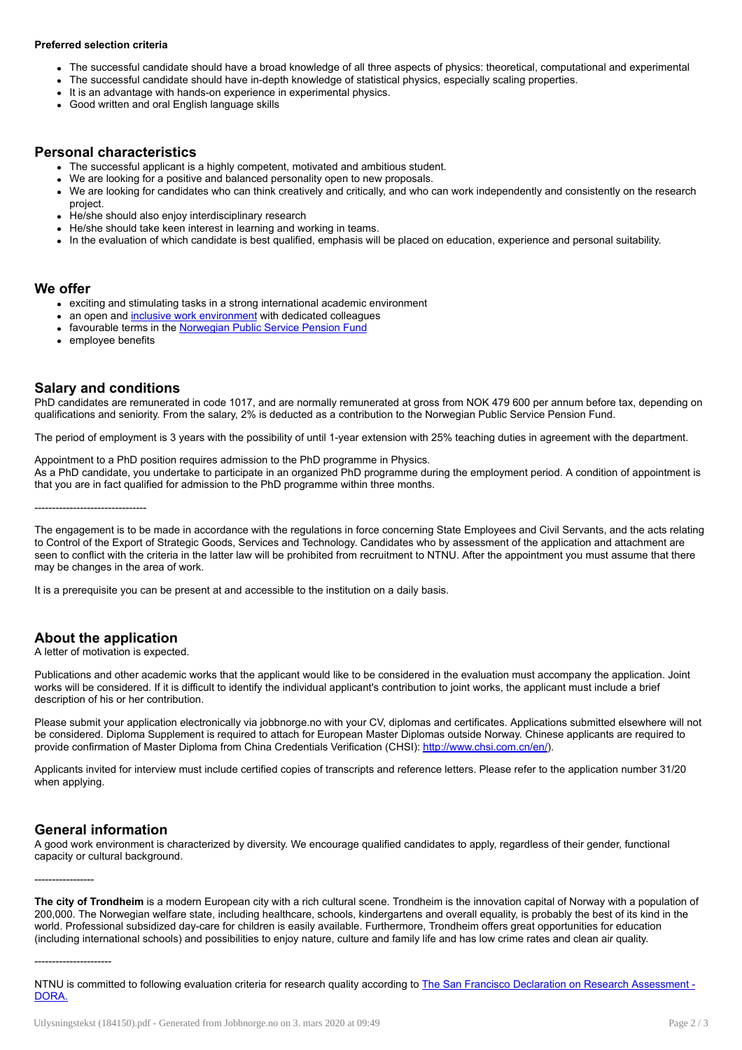#### Preferred selection criteria

- The successful candidate should have a broad knowledge of all three aspects of physics: theoretical, computational and experimental  $\bullet$
- The successful candidate should have in-depth knowledge of statistical physics, especially scaling properties.
- It is an advantage with hands-on experience in experimental physics.
- Good written and oral English language skills

### Personal characteristics

- The successful applicant is a highly competent, motivated and ambitious student.
- We are looking for a positive and balanced personality open to new proposals.
- We are looking for candidates who can think creatively and critically, and who can work independently and consistently on the research  $\bullet$ project.
- He/she should also enjoy interdisciplinary research  $\ddot{\phantom{a}}$
- He/she should take keen interest in learning and working in teams.
- In the evaluation of which candidate is best qualified, emphasis will be placed on education, experience and personal suitability.

### We offer

- exciting and stimulating tasks in a strong international academic environment
- an open and inclusive work [environment](http://innsida.ntnu.no/wiki/-/wiki/Norsk/Inkluderende+arbeidsliv) with dedicated colleagues
- favourable terms in the [Norwegian](https://www.spk.no/en/) Public Service Pension Fund
- employee benefits

### Salary and conditions

PhD candidates are remunerated in code 1017, and are normally remunerated at gross from NOK 479 600 per annum before tax, depending on qualifications and seniority. From the salary, 2% is deducted as a contribution to the Norwegian Public Service Pension Fund.

The period of employment is 3 years with the possibility of until 1-year extension with 25% teaching duties in agreement with the department.

Appointment to a PhD position requires admission to the PhD programme in Physics. As a PhD candidate, you undertake to participate in an organized PhD programme during the employment period. A condition of appointment is that you are in fact qualified for admission to the PhD programme within three months.

--------------------------------

The engagement is to be made in accordance with the regulations in force concerning State Employees and Civil Servants, and the acts relating to Control of the Export of Strategic Goods, Services and Technology. Candidates who by assessment of the application and attachment are seen to conflict with the criteria in the latter law will be prohibited from recruitment to NTNU. After the appointment you must assume that there may be changes in the area of work.

It is a prerequisite you can be present at and accessible to the institution on a daily basis.

# About the application

A letter of motivation is expected.

Publications and other academic works that the applicant would like to be considered in the evaluation must accompany the application. Joint works will be considered. If it is difficult to identify the individual applicant's contribution to joint works, the applicant must include a brief description of his or her contribution.

Please submit your application electronically via jobbnorge.no with your CV, diplomas and certificates. Applications submitted elsewhere will not be considered. Diploma Supplement is required to attach for European Master Diplomas outside Norway. Chinese applicants are required to provide confirmation of Master Diploma from China Credentials Verification (CHSI): <http://www.chsi.com.cn/en/>).

Applicants invited for interview must include certified copies of transcripts and reference letters. Please refer to the application number 31/20 when applying.

### General information

A good work environment is characterized by diversity. We encourage qualified candidates to apply, regardless of their gender, functional capacity or cultural background.

-----------------

The city of Trondheim is a modern European city with a rich cultural scene. Trondheim is the innovation capital of Norway with a population of 200,000. The Norwegian welfare state, including healthcare, schools, kindergartens and overall equality, is probably the best of its kind in the world. Professional subsidized day-care for children is easily available. Furthermore, Trondheim offers great opportunities for education (including international schools) and possibilities to enjoy nature, culture and family life and has low crime rates and clean air quality.

----------------------

NTNU is committed to following evaluation criteria for research quality according to The San Francisco Declaration on Research [Assessment](http://www.ascb.org/wp-content/uploads/2017/07/sfdora.pdf) - DORA.